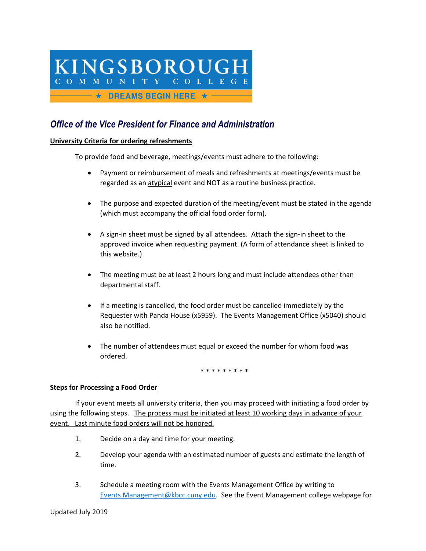# KINGSBOROUGH COMMUNITY COLLEGE  $\longrightarrow$   $\star$  Dreams begin here  $\star$   $\longrightarrow$

# *Office of the Vice President for Finance and Administration*

## **University Criteria for ordering refreshments**

To provide food and beverage, meetings/events must adhere to the following:

- Payment or reimbursement of meals and refreshments at meetings/events must be regarded as an atypical event and NOT as a routine business practice.
- The purpose and expected duration of the meeting/event must be stated in the agenda (which must accompany the official food order form).
- A sign-in sheet must be signed by all attendees. Attach the sign-in sheet to the approved invoice when requesting payment. (A form of attendance sheet is linked to this website.)
- The meeting must be at least 2 hours long and must include attendees other than departmental staff.
- If a meeting is cancelled, the food order must be cancelled immediately by the Requester with Panda House (x5959). The Events Management Office (x5040) should also be notified.
- The number of attendees must equal or exceed the number for whom food was ordered.

\* \* \* \* \* \* \* \* \*

### **Steps for Processing a Food Order**

If your event meets all university criteria, then you may proceed with initiating a food order by using the following steps. The process must be initiated at least 10 working days in advance of your event. Last minute food orders will not be honored.

- 1. Decide on a day and time for your meeting.
- 2. Develop your agenda with an estimated number of guests and estimate the length of time.
- 3. Schedule a meeting room with the Events Management Office by writing to [Events.Management@kbcc.cuny.edu.](mailto:Events.Management@kbcc.cuny.edu) See the Event Management college webpage for

Updated July 2019